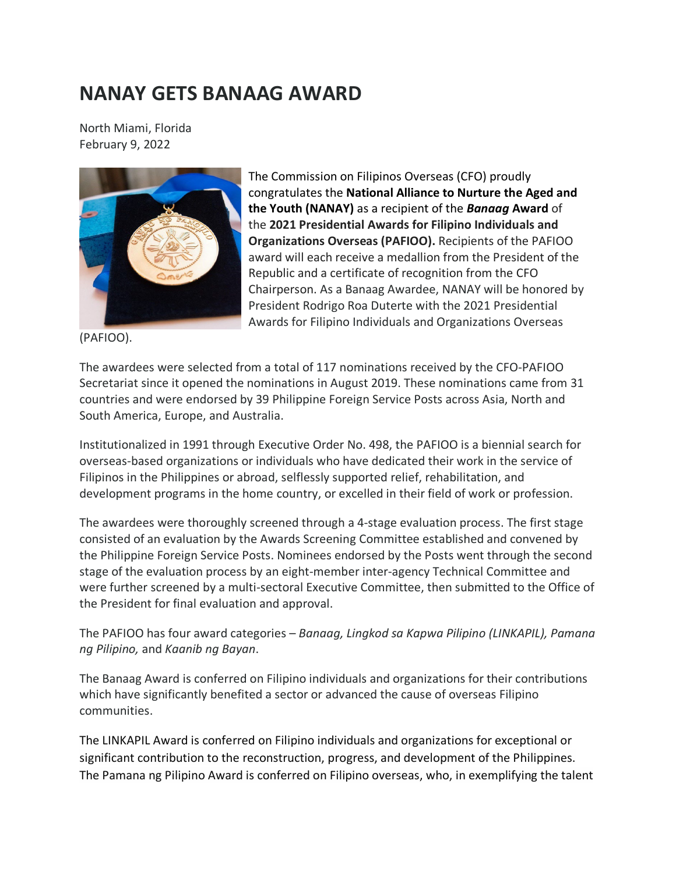## **NANAY GETS BANAAG AWARD**

North Miami, Florida February 9, 2022



The Commission on Filipinos Overseas (CFO) proudly congratulates the **National Alliance to Nurture the Aged and the Youth (NANAY)** as a recipient of the *Banaag* **Award** of the **2021 Presidential Awards for Filipino Individuals and Organizations Overseas (PAFIOO).** Recipients of the PAFIOO award will each receive a medallion from the President of the Republic and a certificate of recognition from the CFO Chairperson. As a Banaag Awardee, NANAY will be honored by President Rodrigo Roa Duterte with the 2021 Presidential Awards for Filipino Individuals and Organizations Overseas

(PAFIOO).

The awardees were selected from a total of 117 nominations received by the CFO-PAFIOO Secretariat since it opened the nominations in August 2019. These nominations came from 31 countries and were endorsed by 39 Philippine Foreign Service Posts across Asia, North and South America, Europe, and Australia.

Institutionalized in 1991 through Executive Order No. 498, the PAFIOO is a biennial search for overseas-based organizations or individuals who have dedicated their work in the service of Filipinos in the Philippines or abroad, selflessly supported relief, rehabilitation, and development programs in the home country, or excelled in their field of work or profession.

The awardees were thoroughly screened through a 4-stage evaluation process. The first stage consisted of an evaluation by the Awards Screening Committee established and convened by the Philippine Foreign Service Posts. Nominees endorsed by the Posts went through the second stage of the evaluation process by an eight-member inter-agency Technical Committee and were further screened by a multi-sectoral Executive Committee, then submitted to the Office of the President for final evaluation and approval.

The PAFIOO has four award categories – *Banaag, Lingkod sa Kapwa Pilipino (LINKAPIL), Pamana ng Pilipino,* and *Kaanib ng Bayan*.

The Banaag Award is conferred on Filipino individuals and organizations for their contributions which have significantly benefited a sector or advanced the cause of overseas Filipino communities.

The LINKAPIL Award is conferred on Filipino individuals and organizations for exceptional or significant contribution to the reconstruction, progress, and development of the Philippines. The Pamana ng Pilipino Award is conferred on Filipino overseas, who, in exemplifying the talent